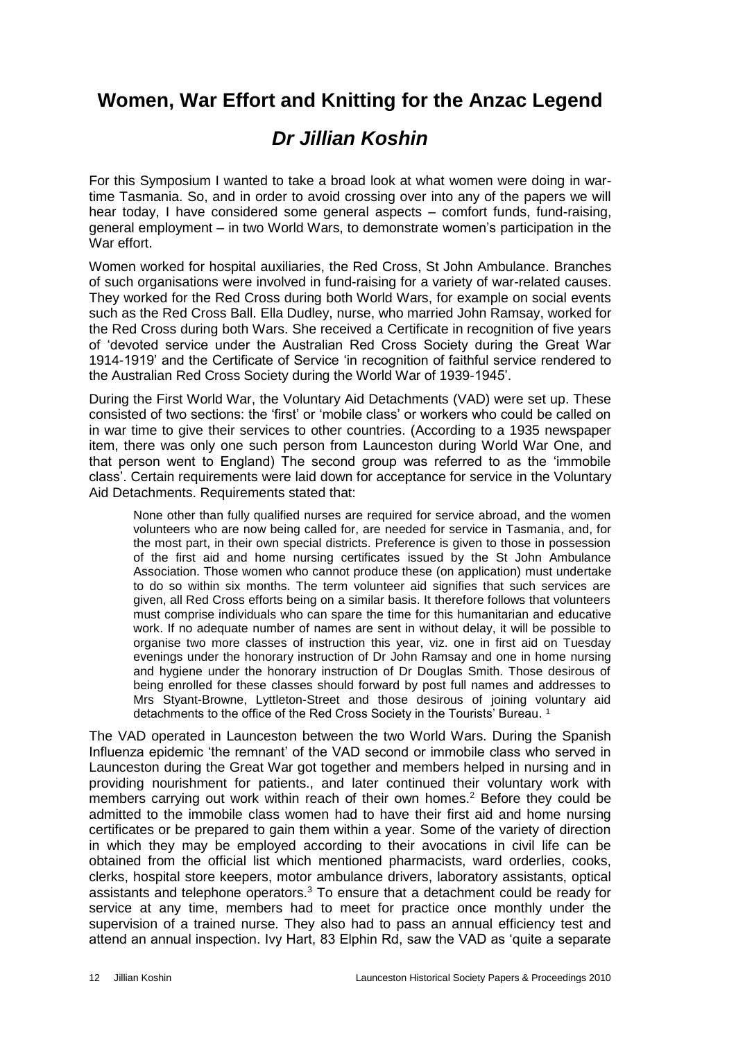## **Women, War Effort and Knitting for the Anzac Legend**

# *Dr Jillian Koshin*

For this Symposium I wanted to take a broad look at what women were doing in wartime Tasmania. So, and in order to avoid crossing over into any of the papers we will hear today, I have considered some general aspects – comfort funds, fund-raising, general employment – in two World Wars, to demonstrate women's participation in the War effort.

Women worked for hospital auxiliaries, the Red Cross, St John Ambulance. Branches of such organisations were involved in fund-raising for a variety of war-related causes. They worked for the Red Cross during both World Wars, for example on social events such as the Red Cross Ball. Ella Dudley, nurse, who married John Ramsay, worked for the Red Cross during both Wars. She received a Certificate in recognition of five years of 'devoted service under the Australian Red Cross Society during the Great War 1914-1919' and the Certificate of Service 'in recognition of faithful service rendered to the Australian Red Cross Society during the World War of 1939-1945'.

During the First World War, the Voluntary Aid Detachments (VAD) were set up. These consisted of two sections: the 'first' or 'mobile class' or workers who could be called on in war time to give their services to other countries. (According to a 1935 newspaper item, there was only one such person from Launceston during World War One, and that person went to England) The second group was referred to as the 'immobile class'. Certain requirements were laid down for acceptance for service in the Voluntary Aid Detachments. Requirements stated that:

None other than fully qualified nurses are required for service abroad, and the women volunteers who are now being called for, are needed for service in Tasmania, and, for the most part, in their own special districts. Preference is given to those in possession of the first aid and home nursing certificates issued by the St John Ambulance Association. Those women who cannot produce these (on application) must undertake to do so within six months. The term volunteer aid signifies that such services are given, all Red Cross efforts being on a similar basis. It therefore follows that volunteers must comprise individuals who can spare the time for this humanitarian and educative work. If no adequate number of names are sent in without delay, it will be possible to organise two more classes of instruction this year, viz. one in first aid on Tuesday evenings under the honorary instruction of Dr John Ramsay and one in home nursing and hygiene under the honorary instruction of Dr Douglas Smith. Those desirous of being enrolled for these classes should forward by post full names and addresses to Mrs Styant-Browne, Lyttleton-Street and those desirous of joining voluntary aid detachments to the office of the Red Cross Society in the Tourists' Bureau. 1

The VAD operated in Launceston between the two World Wars. During the Spanish Influenza epidemic 'the remnant' of the VAD second or immobile class who served in Launceston during the Great War got together and members helped in nursing and in providing nourishment for patients., and later continued their voluntary work with members carrying out work within reach of their own homes.<sup>2</sup> Before they could be admitted to the immobile class women had to have their first aid and home nursing certificates or be prepared to gain them within a year. Some of the variety of direction in which they may be employed according to their avocations in civil life can be obtained from the official list which mentioned pharmacists, ward orderlies, cooks, clerks, hospital store keepers, motor ambulance drivers, laboratory assistants, optical assistants and telephone operators. $3$  To ensure that a detachment could be ready for service at any time, members had to meet for practice once monthly under the supervision of a trained nurse. They also had to pass an annual efficiency test and attend an annual inspection. Ivy Hart, 83 Elphin Rd, saw the VAD as 'quite a separate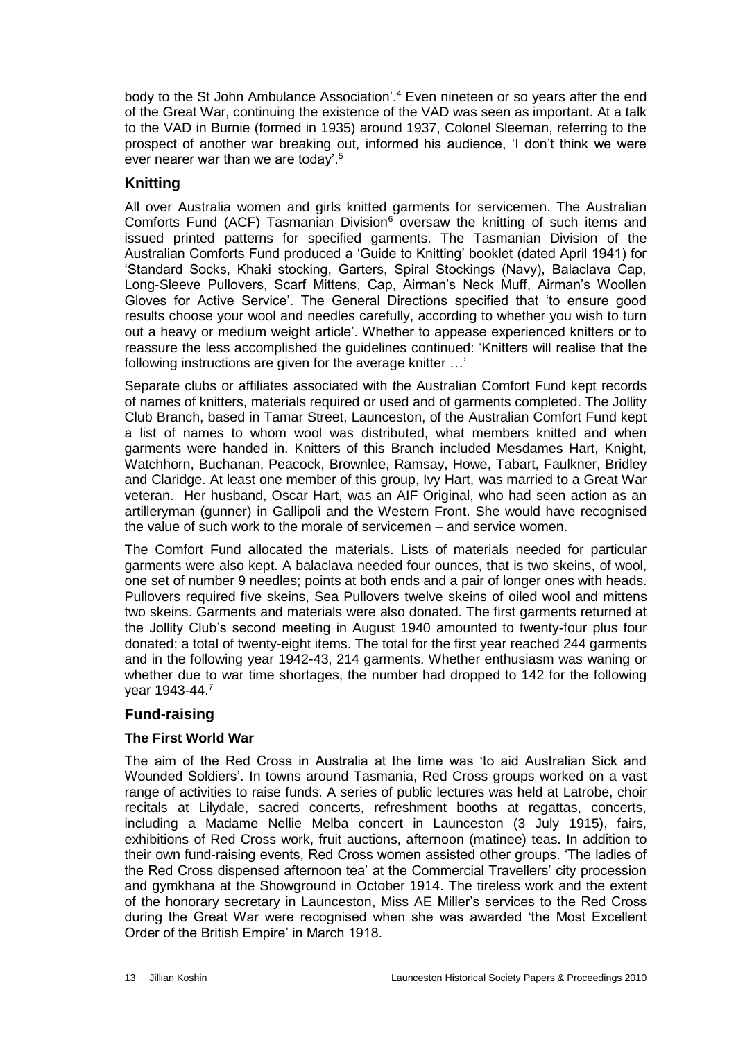body to the St John Ambulance Association'.<sup>4</sup> Even nineteen or so years after the end of the Great War, continuing the existence of the VAD was seen as important. At a talk to the VAD in Burnie (formed in 1935) around 1937, Colonel Sleeman, referring to the prospect of another war breaking out, informed his audience, 'I don't think we were ever nearer war than we are today'.<sup>5</sup>

### **Knitting**

All over Australia women and girls knitted garments for servicemen. The Australian Comforts Fund (ACF) Tasmanian Division $6$  oversaw the knitting of such items and issued printed patterns for specified garments. The Tasmanian Division of the Australian Comforts Fund produced a 'Guide to Knitting' booklet (dated April 1941) for 'Standard Socks, Khaki stocking, Garters, Spiral Stockings (Navy), Balaclava Cap, Long-Sleeve Pullovers, Scarf Mittens, Cap, Airman's Neck Muff, Airman's Woollen Gloves for Active Service'. The General Directions specified that 'to ensure good results choose your wool and needles carefully, according to whether you wish to turn out a heavy or medium weight article'. Whether to appease experienced knitters or to reassure the less accomplished the guidelines continued: 'Knitters will realise that the following instructions are given for the average knitter …'

Separate clubs or affiliates associated with the Australian Comfort Fund kept records of names of knitters, materials required or used and of garments completed. The Jollity Club Branch, based in Tamar Street, Launceston, of the Australian Comfort Fund kept a list of names to whom wool was distributed, what members knitted and when garments were handed in. Knitters of this Branch included Mesdames Hart, Knight, Watchhorn, Buchanan, Peacock, Brownlee, Ramsay, Howe, Tabart, Faulkner, Bridley and Claridge. At least one member of this group, Ivy Hart, was married to a Great War veteran. Her husband, Oscar Hart, was an AIF Original, who had seen action as an artilleryman (gunner) in Gallipoli and the Western Front. She would have recognised the value of such work to the morale of servicemen – and service women.

The Comfort Fund allocated the materials. Lists of materials needed for particular garments were also kept. A balaclava needed four ounces, that is two skeins, of wool, one set of number 9 needles; points at both ends and a pair of longer ones with heads. Pullovers required five skeins, Sea Pullovers twelve skeins of oiled wool and mittens two skeins. Garments and materials were also donated. The first garments returned at the Jollity Club's second meeting in August 1940 amounted to twenty-four plus four donated; a total of twenty-eight items. The total for the first year reached 244 garments and in the following year 1942-43, 214 garments. Whether enthusiasm was waning or whether due to war time shortages, the number had dropped to 142 for the following year 1943-44.<sup>7</sup>

#### **Fund-raising**

#### **The First World War**

The aim of the Red Cross in Australia at the time was 'to aid Australian Sick and Wounded Soldiers'. In towns around Tasmania, Red Cross groups worked on a vast range of activities to raise funds. A series of public lectures was held at Latrobe, choir recitals at Lilydale, sacred concerts, refreshment booths at regattas, concerts, including a Madame Nellie Melba concert in Launceston (3 July 1915), fairs, exhibitions of Red Cross work, fruit auctions, afternoon (matinee) teas. In addition to their own fund-raising events, Red Cross women assisted other groups. 'The ladies of the Red Cross dispensed afternoon tea' at the Commercial Travellers' city procession and gymkhana at the Showground in October 1914. The tireless work and the extent of the honorary secretary in Launceston, Miss AE Miller's services to the Red Cross during the Great War were recognised when she was awarded 'the Most Excellent Order of the British Empire' in March 1918.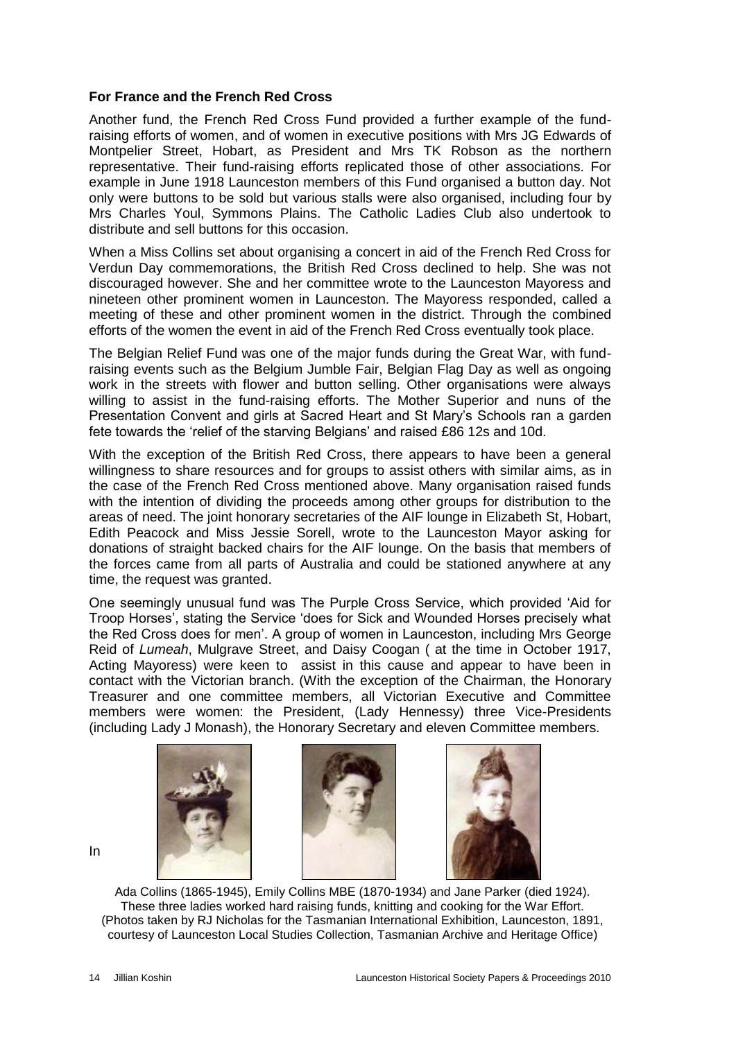#### **For France and the French Red Cross**

Another fund, the French Red Cross Fund provided a further example of the fundraising efforts of women, and of women in executive positions with Mrs JG Edwards of Montpelier Street, Hobart, as President and Mrs TK Robson as the northern representative. Their fund-raising efforts replicated those of other associations. For example in June 1918 Launceston members of this Fund organised a button day. Not only were buttons to be sold but various stalls were also organised, including four by Mrs Charles Youl, Symmons Plains. The Catholic Ladies Club also undertook to distribute and sell buttons for this occasion.

When a Miss Collins set about organising a concert in aid of the French Red Cross for Verdun Day commemorations, the British Red Cross declined to help. She was not discouraged however. She and her committee wrote to the Launceston Mayoress and nineteen other prominent women in Launceston. The Mayoress responded, called a meeting of these and other prominent women in the district. Through the combined efforts of the women the event in aid of the French Red Cross eventually took place.

The Belgian Relief Fund was one of the major funds during the Great War, with fundraising events such as the Belgium Jumble Fair, Belgian Flag Day as well as ongoing work in the streets with flower and button selling. Other organisations were always willing to assist in the fund-raising efforts. The Mother Superior and nuns of the Presentation Convent and girls at Sacred Heart and St Mary's Schools ran a garden fete towards the 'relief of the starving Belgians' and raised £86 12s and 10d.

With the exception of the British Red Cross, there appears to have been a general willingness to share resources and for groups to assist others with similar aims, as in the case of the French Red Cross mentioned above. Many organisation raised funds with the intention of dividing the proceeds among other groups for distribution to the areas of need. The joint honorary secretaries of the AIF lounge in Elizabeth St, Hobart, Edith Peacock and Miss Jessie Sorell, wrote to the Launceston Mayor asking for donations of straight backed chairs for the AIF lounge. On the basis that members of the forces came from all parts of Australia and could be stationed anywhere at any time, the request was granted.

One seemingly unusual fund was The Purple Cross Service, which provided 'Aid for Troop Horses', stating the Service 'does for Sick and Wounded Horses precisely what the Red Cross does for men'. A group of women in Launceston, including Mrs George Reid of *Lumeah*, Mulgrave Street, and Daisy Coogan ( at the time in October 1917, Acting Mayoress) were keen to assist in this cause and appear to have been in contact with the Victorian branch. (With the exception of the Chairman, the Honorary Treasurer and one committee members, all Victorian Executive and Committee members were women: the President, (Lady Hennessy) three Vice-Presidents (including Lady J Monash), the Honorary Secretary and eleven Committee members.







Ada Collins (1865-1945), Emily Collins MBE (1870-1934) and Jane Parker (died 1924). These three ladies worked hard raising funds, knitting and cooking for the War Effort. (Photos taken by RJ Nicholas for the Tasmanian International Exhibition, Launceston, 1891, courtesy of Launceston Local Studies Collection, Tasmanian Archive and Heritage Office)

In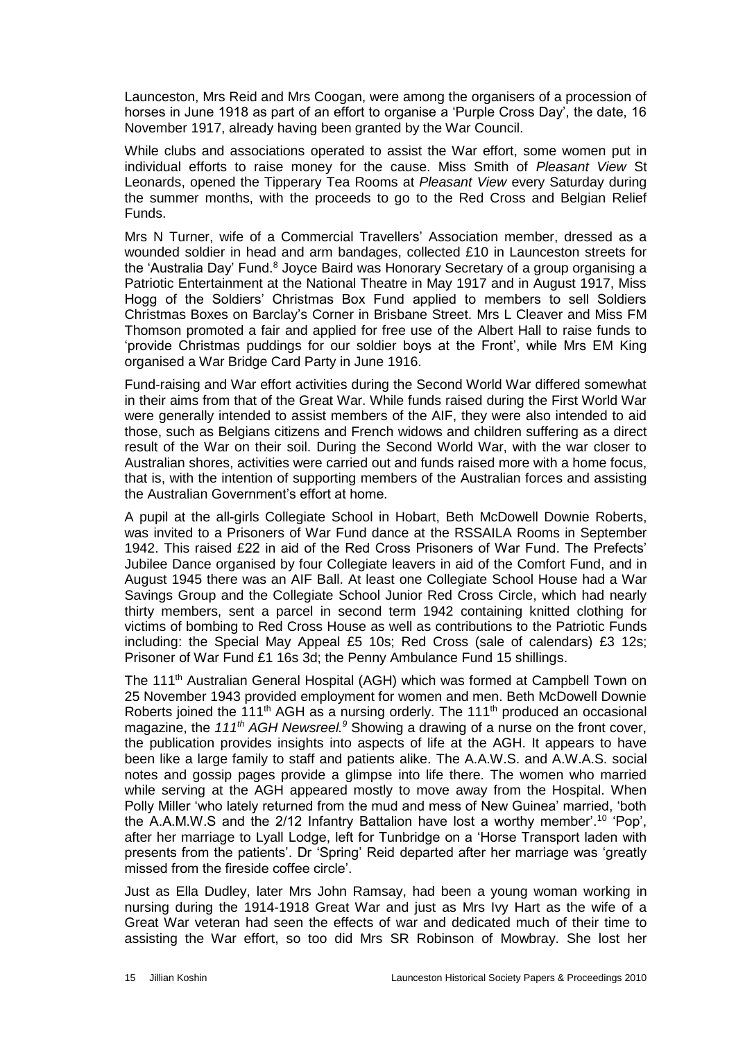Launceston, Mrs Reid and Mrs Coogan, were among the organisers of a procession of horses in June 1918 as part of an effort to organise a 'Purple Cross Day', the date, 16 November 1917, already having been granted by the War Council.

While clubs and associations operated to assist the War effort, some women put in individual efforts to raise money for the cause. Miss Smith of *Pleasant View* St Leonards, opened the Tipperary Tea Rooms at *Pleasant View* every Saturday during the summer months, with the proceeds to go to the Red Cross and Belgian Relief Funds.

Mrs N Turner, wife of a Commercial Travellers' Association member, dressed as a wounded soldier in head and arm bandages, collected £10 in Launceston streets for the 'Australia Day' Fund.<sup>8</sup> Joyce Baird was Honorary Secretary of a group organising a Patriotic Entertainment at the National Theatre in May 1917 and in August 1917, Miss Hogg of the Soldiers' Christmas Box Fund applied to members to sell Soldiers Christmas Boxes on Barclay's Corner in Brisbane Street. Mrs L Cleaver and Miss FM Thomson promoted a fair and applied for free use of the Albert Hall to raise funds to 'provide Christmas puddings for our soldier boys at the Front', while Mrs EM King organised a War Bridge Card Party in June 1916.

Fund-raising and War effort activities during the Second World War differed somewhat in their aims from that of the Great War. While funds raised during the First World War were generally intended to assist members of the AIF, they were also intended to aid those, such as Belgians citizens and French widows and children suffering as a direct result of the War on their soil. During the Second World War, with the war closer to Australian shores, activities were carried out and funds raised more with a home focus, that is, with the intention of supporting members of the Australian forces and assisting the Australian Government's effort at home.

A pupil at the all-girls Collegiate School in Hobart, Beth McDowell Downie Roberts, was invited to a Prisoners of War Fund dance at the RSSAILA Rooms in September 1942. This raised £22 in aid of the Red Cross Prisoners of War Fund. The Prefects' Jubilee Dance organised by four Collegiate leavers in aid of the Comfort Fund, and in August 1945 there was an AIF Ball. At least one Collegiate School House had a War Savings Group and the Collegiate School Junior Red Cross Circle, which had nearly thirty members, sent a parcel in second term 1942 containing knitted clothing for victims of bombing to Red Cross House as well as contributions to the Patriotic Funds including: the Special May Appeal £5 10s; Red Cross (sale of calendars) £3 12s; Prisoner of War Fund £1 16s 3d; the Penny Ambulance Fund 15 shillings.

The 111th Australian General Hospital (AGH) which was formed at Campbell Town on 25 November 1943 provided employment for women and men. Beth McDowell Downie Roberts joined the 111<sup>th</sup> AGH as a nursing orderly. The 111<sup>th</sup> produced an occasional magazine, the *111th AGH Newsreel.<sup>9</sup>* Showing a drawing of a nurse on the front cover, the publication provides insights into aspects of life at the AGH. It appears to have been like a large family to staff and patients alike. The A.A.W.S. and A.W.A.S. social notes and gossip pages provide a glimpse into life there. The women who married while serving at the AGH appeared mostly to move away from the Hospital. When Polly Miller 'who lately returned from the mud and mess of New Guinea' married, 'both the A.A.M.W.S and the 2/12 Infantry Battalion have lost a worthy member'.<sup>10</sup> 'Pop', after her marriage to Lyall Lodge, left for Tunbridge on a 'Horse Transport laden with presents from the patients'. Dr 'Spring' Reid departed after her marriage was 'greatly missed from the fireside coffee circle'.

Just as Ella Dudley, later Mrs John Ramsay, had been a young woman working in nursing during the 1914-1918 Great War and just as Mrs Ivy Hart as the wife of a Great War veteran had seen the effects of war and dedicated much of their time to assisting the War effort, so too did Mrs SR Robinson of Mowbray. She lost her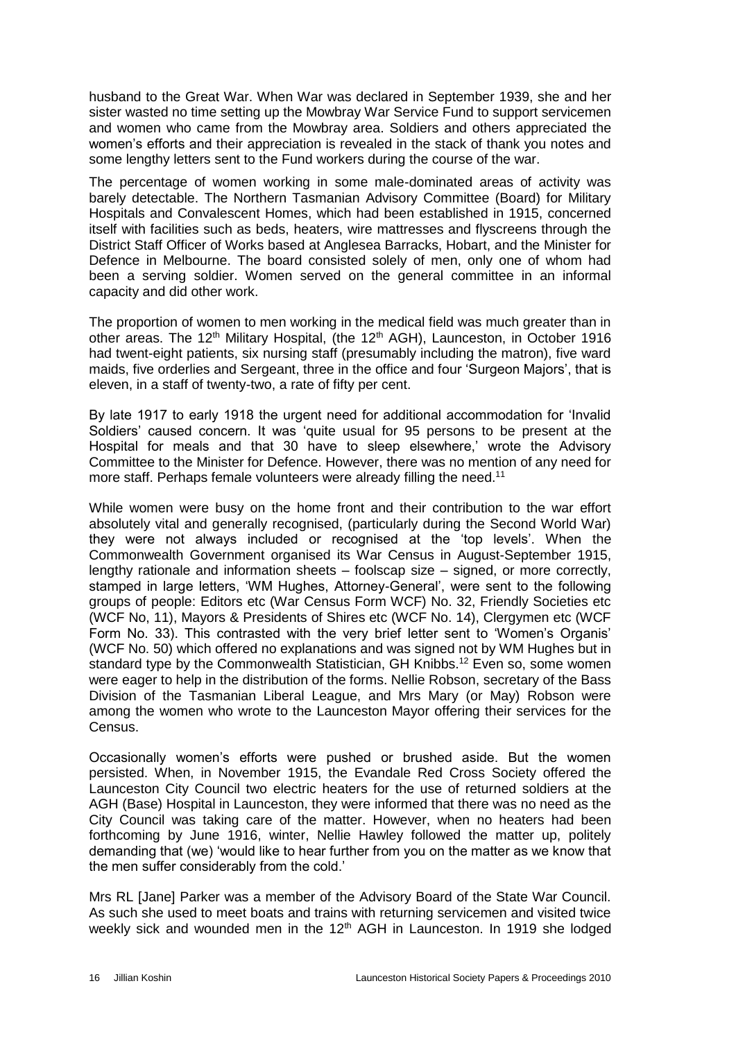husband to the Great War. When War was declared in September 1939, she and her sister wasted no time setting up the Mowbray War Service Fund to support servicemen and women who came from the Mowbray area. Soldiers and others appreciated the women's efforts and their appreciation is revealed in the stack of thank you notes and some lengthy letters sent to the Fund workers during the course of the war.

The percentage of women working in some male-dominated areas of activity was barely detectable. The Northern Tasmanian Advisory Committee (Board) for Military Hospitals and Convalescent Homes, which had been established in 1915, concerned itself with facilities such as beds, heaters, wire mattresses and flyscreens through the District Staff Officer of Works based at Anglesea Barracks, Hobart, and the Minister for Defence in Melbourne. The board consisted solely of men, only one of whom had been a serving soldier. Women served on the general committee in an informal capacity and did other work.

The proportion of women to men working in the medical field was much greater than in other areas. The 12<sup>th</sup> Military Hospital, (the 12<sup>th</sup> AGH), Launceston, in October 1916 had twent-eight patients, six nursing staff (presumably including the matron), five ward maids, five orderlies and Sergeant, three in the office and four 'Surgeon Majors', that is eleven, in a staff of twenty-two, a rate of fifty per cent.

By late 1917 to early 1918 the urgent need for additional accommodation for 'Invalid Soldiers' caused concern. It was 'quite usual for 95 persons to be present at the Hospital for meals and that 30 have to sleep elsewhere,' wrote the Advisory Committee to the Minister for Defence. However, there was no mention of any need for more staff. Perhaps female volunteers were already filling the need.<sup>11</sup>

While women were busy on the home front and their contribution to the war effort absolutely vital and generally recognised, (particularly during the Second World War) they were not always included or recognised at the 'top levels'. When the Commonwealth Government organised its War Census in August-September 1915, lengthy rationale and information sheets – foolscap size – signed, or more correctly, stamped in large letters, 'WM Hughes, Attorney-General', were sent to the following groups of people: Editors etc (War Census Form WCF) No. 32, Friendly Societies etc (WCF No, 11), Mayors & Presidents of Shires etc (WCF No. 14), Clergymen etc (WCF Form No. 33). This contrasted with the very brief letter sent to 'Women's Organis' (WCF No. 50) which offered no explanations and was signed not by WM Hughes but in standard type by the Commonwealth Statistician, GH Knibbs.<sup>12</sup> Even so, some women were eager to help in the distribution of the forms. Nellie Robson, secretary of the Bass Division of the Tasmanian Liberal League, and Mrs Mary (or May) Robson were among the women who wrote to the Launceston Mayor offering their services for the Census.

Occasionally women's efforts were pushed or brushed aside. But the women persisted. When, in November 1915, the Evandale Red Cross Society offered the Launceston City Council two electric heaters for the use of returned soldiers at the AGH (Base) Hospital in Launceston, they were informed that there was no need as the City Council was taking care of the matter. However, when no heaters had been forthcoming by June 1916, winter, Nellie Hawley followed the matter up, politely demanding that (we) 'would like to hear further from you on the matter as we know that the men suffer considerably from the cold.'

Mrs RL [Jane] Parker was a member of the Advisory Board of the State War Council. As such she used to meet boats and trains with returning servicemen and visited twice weekly sick and wounded men in the 12<sup>th</sup> AGH in Launceston. In 1919 she lodged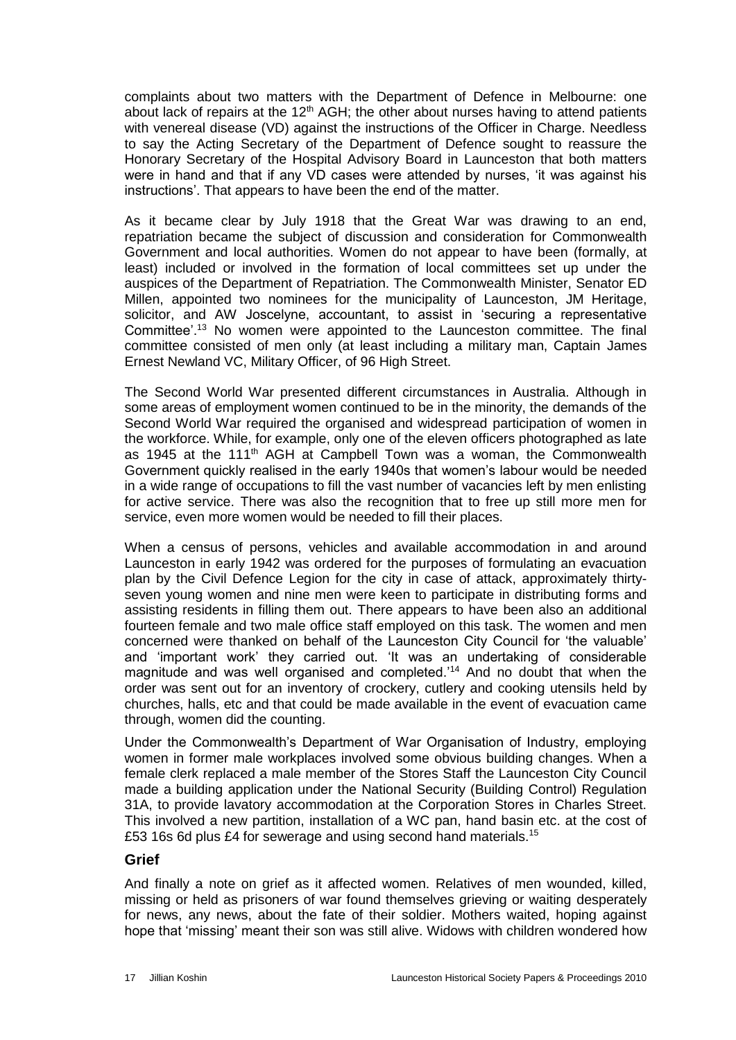complaints about two matters with the Department of Defence in Melbourne: one about lack of repairs at the  $12<sup>th</sup>$  AGH; the other about nurses having to attend patients with venereal disease (VD) against the instructions of the Officer in Charge. Needless to say the Acting Secretary of the Department of Defence sought to reassure the Honorary Secretary of the Hospital Advisory Board in Launceston that both matters were in hand and that if any VD cases were attended by nurses, 'it was against his instructions'. That appears to have been the end of the matter.

As it became clear by July 1918 that the Great War was drawing to an end, repatriation became the subject of discussion and consideration for Commonwealth Government and local authorities. Women do not appear to have been (formally, at least) included or involved in the formation of local committees set up under the auspices of the Department of Repatriation. The Commonwealth Minister, Senator ED Millen, appointed two nominees for the municipality of Launceston, JM Heritage, solicitor, and AW Joscelyne, accountant, to assist in 'securing a representative Committee'.<sup>13</sup> No women were appointed to the Launceston committee. The final committee consisted of men only (at least including a military man, Captain James Ernest Newland VC, Military Officer, of 96 High Street.

The Second World War presented different circumstances in Australia. Although in some areas of employment women continued to be in the minority, the demands of the Second World War required the organised and widespread participation of women in the workforce. While, for example, only one of the eleven officers photographed as late as 1945 at the 111<sup>th</sup> AGH at Campbell Town was a woman, the Commonwealth Government quickly realised in the early 1940s that women's labour would be needed in a wide range of occupations to fill the vast number of vacancies left by men enlisting for active service. There was also the recognition that to free up still more men for service, even more women would be needed to fill their places.

When a census of persons, vehicles and available accommodation in and around Launceston in early 1942 was ordered for the purposes of formulating an evacuation plan by the Civil Defence Legion for the city in case of attack, approximately thirtyseven young women and nine men were keen to participate in distributing forms and assisting residents in filling them out. There appears to have been also an additional fourteen female and two male office staff employed on this task. The women and men concerned were thanked on behalf of the Launceston City Council for 'the valuable' and 'important work' they carried out. 'It was an undertaking of considerable magnitude and was well organised and completed.<sup>14</sup> And no doubt that when the order was sent out for an inventory of crockery, cutlery and cooking utensils held by churches, halls, etc and that could be made available in the event of evacuation came through, women did the counting.

Under the Commonwealth's Department of War Organisation of Industry, employing women in former male workplaces involved some obvious building changes. When a female clerk replaced a male member of the Stores Staff the Launceston City Council made a building application under the National Security (Building Control) Regulation 31A, to provide lavatory accommodation at the Corporation Stores in Charles Street. This involved a new partition, installation of a WC pan, hand basin etc. at the cost of £53 16s 6d plus £4 for sewerage and using second hand materials.<sup>15</sup>

#### **Grief**

And finally a note on grief as it affected women. Relatives of men wounded, killed, missing or held as prisoners of war found themselves grieving or waiting desperately for news, any news, about the fate of their soldier. Mothers waited, hoping against hope that 'missing' meant their son was still alive. Widows with children wondered how